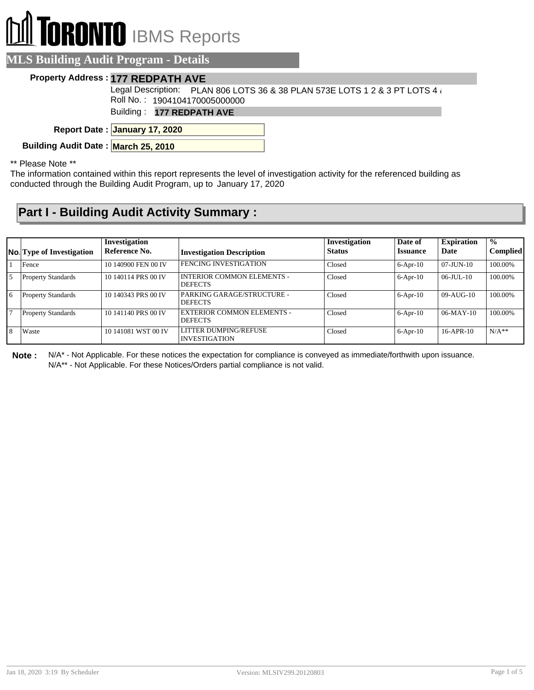# **RONTO** IBMS Reports

#### **MLS Building Audit Program - Details**

#### **Property Address : 177 REDPATH AVE**

Legal Description:  $\vphantom{\bigl|}$  PLAN 806 LOTS 36 & 38 PLAN 573E LOTS 1 2 & 3 PT LOTS 4  $\wr$ Roll No. : 1904104170005000000

Building : **177 REDPATH AVE**

**January 17, 2020 Report Date :**

**Building Audit Date : March 25, 2010**

\*\* Please Note \*\*

The information contained within this report represents the level of investigation activity for the referenced building as conducted through the Building Audit Program, up to January 17, 2020

### **Part I - Building Audit Activity Summary :**

|              |                                  | Investigation       |                                                     | <b>Investigation</b> | Date of         | <b>Expiration</b> | $\frac{0}{0}$   |
|--------------|----------------------------------|---------------------|-----------------------------------------------------|----------------------|-----------------|-------------------|-----------------|
|              | <b>No.</b> Type of Investigation | Reference No.       | <b>Investigation Description</b>                    | <b>Status</b>        | <b>Issuance</b> | Date              | <b>Complied</b> |
|              | Fence                            | 10 140900 FEN 00 IV | <b>FENCING INVESTIGATION</b>                        | Closed               | $6-Apr-10$      | $07$ -JUN- $10$   | 100.00%         |
| l 5          | <b>Property Standards</b>        | 10 140114 PRS 00 IV | <b>INTERIOR COMMON ELEMENTS -</b><br><b>DEFECTS</b> | Closed               | $6-Apr-10$      | $06$ -JUL-10      | 100.00%         |
| <u>6</u>     | <b>Property Standards</b>        | 10 140343 PRS 00 IV | PARKING GARAGE/STRUCTURE -<br><b>DEFECTS</b>        | Closed               | $6-$ Apr $-10$  | $09-AUG-10$       | 100.00%         |
| 17           | <b>Property Standards</b>        | 10 141140 PRS 00 IV | <b>EXTERIOR COMMON ELEMENTS -</b><br><b>DEFECTS</b> | Closed               | $6-$ Apr $-10$  | $06-MAY-10$       | 100.00%         |
| <sup>8</sup> | Waste                            | 10 141081 WST 00 IV | LITTER DUMPING/REFUSE<br><b>INVESTIGATION</b>       | Closed               | $6-$ Apr $-10$  | $16-APR-10$       | $N/A**$         |

**Note :** N/A\* - Not Applicable. For these notices the expectation for compliance is conveyed as immediate/forthwith upon issuance. N/A\*\* - Not Applicable. For these Notices/Orders partial compliance is not valid.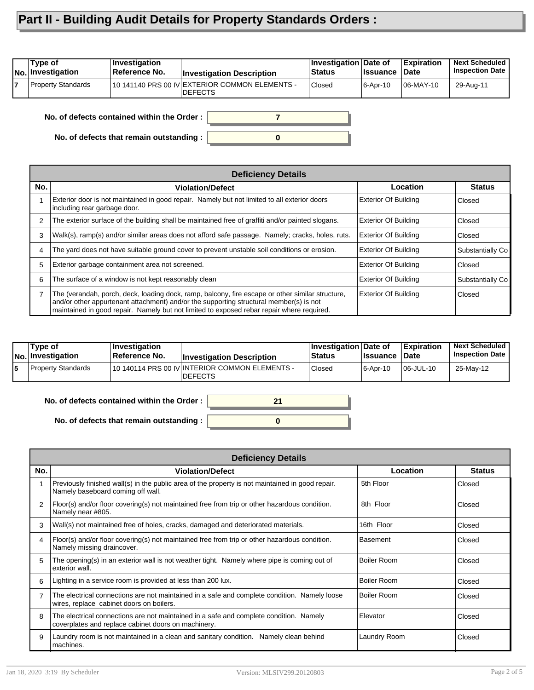## **Part II - Building Audit Details for Property Standards Orders :**

| 10 141140 PRS 00 IV EXTERIOR COMMON ELEMENTS -<br><b>Property Standards</b><br><b>Closed</b><br>06-MAY-10<br>6-Apr-10 | Type of<br><b>INo. Investigation</b> | $ $ Investigation<br>Reference No. | <b>Investigation Description</b> | Investigation Date of<br><b>Status</b> | ∣Issuance | <b>Expiration</b><br>∣Date | <b>Next Scheduled</b><br><b>Inspection Date</b> |
|-----------------------------------------------------------------------------------------------------------------------|--------------------------------------|------------------------------------|----------------------------------|----------------------------------------|-----------|----------------------------|-------------------------------------------------|
|                                                                                                                       |                                      |                                    | <b>IDEFECTS</b>                  |                                        |           |                            | 29-Aug-11                                       |

**0**

**7**

**No. of defects contained within the Order :**

**No. of defects that remain outstanding :**

|     | <b>Deficiency Details</b>                                                                                                                                                                                                                                                               |                             |                  |  |  |  |  |  |
|-----|-----------------------------------------------------------------------------------------------------------------------------------------------------------------------------------------------------------------------------------------------------------------------------------------|-----------------------------|------------------|--|--|--|--|--|
| No. | <b>Violation/Defect</b>                                                                                                                                                                                                                                                                 | Location                    | <b>Status</b>    |  |  |  |  |  |
|     | Exterior door is not maintained in good repair. Namely but not limited to all exterior doors<br>including rear garbage door.                                                                                                                                                            | <b>Exterior Of Building</b> | Closed           |  |  |  |  |  |
| 2   | The exterior surface of the building shall be maintained free of graffiti and/or painted slogans.                                                                                                                                                                                       | <b>Exterior Of Building</b> | Closed           |  |  |  |  |  |
| 3   | Walk(s), ramp(s) and/or similar areas does not afford safe passage. Namely; cracks, holes, ruts.                                                                                                                                                                                        | <b>Exterior Of Building</b> | Closed           |  |  |  |  |  |
| 4   | The yard does not have suitable ground cover to prevent unstable soil conditions or erosion.                                                                                                                                                                                            | <b>Exterior Of Building</b> | Substantially Co |  |  |  |  |  |
| 5   | Exterior garbage containment area not screened.                                                                                                                                                                                                                                         | <b>Exterior Of Building</b> | Closed           |  |  |  |  |  |
| 6   | The surface of a window is not kept reasonably clean                                                                                                                                                                                                                                    | <b>Exterior Of Building</b> | Substantially Co |  |  |  |  |  |
| 7   | The (verandah, porch, deck, loading dock, ramp, balcony, fire escape or other similar structure,<br>and/or other appurtenant attachment) and/or the supporting structural member(s) is not<br>maintained in good repair. Namely but not limited to exposed rebar repair where required. | Exterior Of Building        | Closed           |  |  |  |  |  |

| Type of<br> No. Investigation | ∣Investiɑation<br>∣Reference No. | <b>Investigation Description</b>                            | <b>∣Investigation Date of</b><br><b>Status</b> | <b>Issuance</b> | <b>Expiration</b><br><b>Date</b> | <b>Next Scheduled</b><br><b>Inspection Date</b> |
|-------------------------------|----------------------------------|-------------------------------------------------------------|------------------------------------------------|-----------------|----------------------------------|-------------------------------------------------|
| l Property Standards          |                                  | 110 140114 PRS 00 IV INTERIOR COMMON ELEMENTS -<br>'DEFECTS | Closed                                         | $ 6 - Apr - 10$ | 06-JUL-10                        | 25-May-12                                       |

I

| No. of defects contained within the Order : $\vert$ |  |
|-----------------------------------------------------|--|
|                                                     |  |
| No. of defects that remain outstanding :            |  |

|                | <b>Deficiency Details</b>                                                                                                                     |                 |               |  |  |  |  |  |
|----------------|-----------------------------------------------------------------------------------------------------------------------------------------------|-----------------|---------------|--|--|--|--|--|
| No.            | <b>Violation/Defect</b>                                                                                                                       | Location        | <b>Status</b> |  |  |  |  |  |
|                | Previously finished wall(s) in the public area of the property is not maintained in good repair.<br>Namely baseboard coming off wall.         | 5th Floor       | Closed        |  |  |  |  |  |
| 2              | Floor(s) and/or floor covering(s) not maintained free from trip or other hazardous condition.<br>Namely near #805.                            | 8th Floor       | Closed        |  |  |  |  |  |
| 3              | Wall(s) not maintained free of holes, cracks, damaged and deteriorated materials.                                                             | 16th Floor      | Closed        |  |  |  |  |  |
| 4              | Floor(s) and/or floor covering(s) not maintained free from trip or other hazardous condition.<br>Namely missing draincover.                   | <b>Basement</b> | Closed        |  |  |  |  |  |
| 5              | The opening(s) in an exterior wall is not weather tight. Namely where pipe is coming out of<br>exterior wall.                                 | Boiler Room     | Closed        |  |  |  |  |  |
| 6              | Lighting in a service room is provided at less than 200 lux.                                                                                  | Boiler Room     | Closed        |  |  |  |  |  |
| $\overline{7}$ | The electrical connections are not maintained in a safe and complete condition. Namely loose<br>wires, replace cabinet doors on boilers.      | Boiler Room     | Closed        |  |  |  |  |  |
| 8              | The electrical connections are not maintained in a safe and complete condition. Namely<br>coverplates and replace cabinet doors on machinery. | Elevator        | Closed        |  |  |  |  |  |
| 9              | Laundry room is not maintained in a clean and sanitary condition. Namely clean behind<br>machines.                                            | Laundry Room    | Closed        |  |  |  |  |  |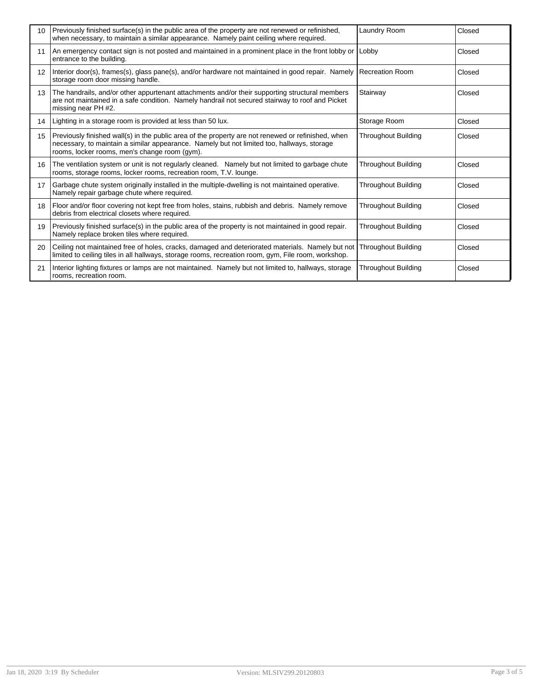| 10 <sup>1</sup> | Previously finished surface(s) in the public area of the property are not renewed or refinished,<br>when necessary, to maintain a similar appearance. Namely paint ceiling where required.                                                        | Laundry Room               | Closed |
|-----------------|---------------------------------------------------------------------------------------------------------------------------------------------------------------------------------------------------------------------------------------------------|----------------------------|--------|
| 11              | An emergency contact sign is not posted and maintained in a prominent place in the front lobby or Lobby<br>entrance to the building.                                                                                                              |                            | Closed |
| 12 <sup>2</sup> | Interior door(s), frames(s), glass pane(s), and/or hardware not maintained in good repair. Namely  Recreation Room<br>storage room door missing handle.                                                                                           |                            | Closed |
| 13              | The handrails, and/or other appurtenant attachments and/or their supporting structural members<br>are not maintained in a safe condition. Namely handrail not secured stairway to roof and Picket<br>missing near PH #2.                          | Stairway                   | Closed |
| 14              | Lighting in a storage room is provided at less than 50 lux.                                                                                                                                                                                       | Storage Room               | Closed |
| 15              | Previously finished wall(s) in the public area of the property are not renewed or refinished, when<br>necessary, to maintain a similar appearance. Namely but not limited too, hallways, storage<br>rooms, locker rooms, men's change room (gym). | <b>Throughout Building</b> | Closed |
| 16              | The ventilation system or unit is not regularly cleaned. Namely but not limited to garbage chute<br>rooms, storage rooms, locker rooms, recreation room, T.V. lounge.                                                                             | <b>Throughout Building</b> | Closed |
| 17              | Garbage chute system originally installed in the multiple-dwelling is not maintained operative.<br>Namely repair garbage chute where required.                                                                                                    | <b>Throughout Building</b> | Closed |
| 18              | Floor and/or floor covering not kept free from holes, stains, rubbish and debris. Namely remove<br>debris from electrical closets where required.                                                                                                 | <b>Throughout Building</b> | Closed |
| 19              | Previously finished surface(s) in the public area of the property is not maintained in good repair.<br>Namely replace broken tiles where required.                                                                                                | <b>Throughout Building</b> | Closed |
| 20              | Ceiling not maintained free of holes, cracks, damaged and deteriorated materials. Namely but not Throughout Building<br>limited to ceiling tiles in all hallways, storage rooms, recreation room, gym, File room, workshop.                       |                            | Closed |
| 21              | Interior lighting fixtures or lamps are not maintained. Namely but not limited to, hallways, storage<br>rooms, recreation room.                                                                                                                   | <b>Throughout Building</b> | Closed |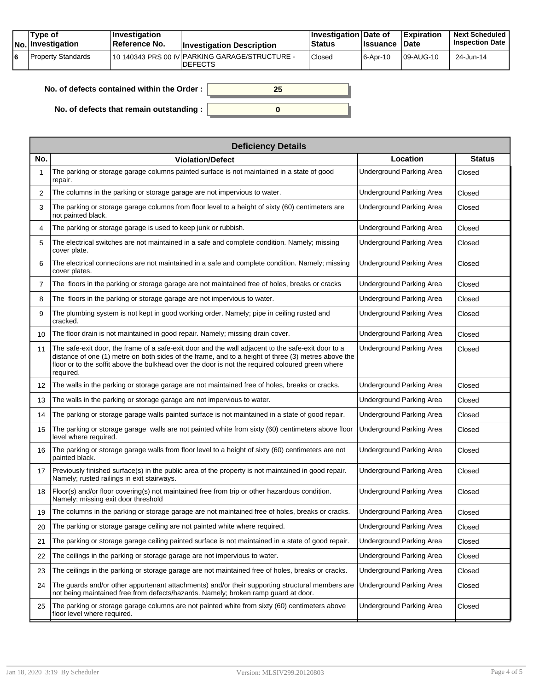|    | Tvpe of<br><b>No.</b> Investigation | <b>Investigation</b><br>Reference No. | <b>Investigation Description</b>                                  | <b>Investigation Date of</b><br><b>Status</b> | <b>Issuance</b> | Expiration<br><b>∣Date</b> | <b>Next Scheduled</b><br><b>Inspection Date</b> |
|----|-------------------------------------|---------------------------------------|-------------------------------------------------------------------|-----------------------------------------------|-----------------|----------------------------|-------------------------------------------------|
| 16 | Property Standards                  |                                       | 110 140343 PRS 00 IV PARKING GARAGE/STRUCTURE -<br><b>DEFECTS</b> | Closed                                        | 16-Apr-10       | 109-AUG-10                 | 24-Jun-14                                       |

| No. of defects contained within the Order: | 25 |
|--------------------------------------------|----|
| No. of defects that remain outstanding :   |    |

|                   | <b>Deficiency Details</b>                                                                                                                                                                                                                                                                                                  |                                 |               |  |  |  |  |  |  |
|-------------------|----------------------------------------------------------------------------------------------------------------------------------------------------------------------------------------------------------------------------------------------------------------------------------------------------------------------------|---------------------------------|---------------|--|--|--|--|--|--|
| No.               | <b>Violation/Defect</b>                                                                                                                                                                                                                                                                                                    | Location                        | <b>Status</b> |  |  |  |  |  |  |
| 1                 | The parking or storage garage columns painted surface is not maintained in a state of good<br>repair.                                                                                                                                                                                                                      | <b>Underground Parking Area</b> | Closed        |  |  |  |  |  |  |
| 2                 | The columns in the parking or storage garage are not impervious to water.                                                                                                                                                                                                                                                  | <b>Underground Parking Area</b> | Closed        |  |  |  |  |  |  |
| 3                 | The parking or storage garage columns from floor level to a height of sixty (60) centimeters are<br>not painted black.                                                                                                                                                                                                     | <b>Underground Parking Area</b> | Closed        |  |  |  |  |  |  |
| 4                 | The parking or storage garage is used to keep junk or rubbish.                                                                                                                                                                                                                                                             | Underground Parking Area        | Closed        |  |  |  |  |  |  |
| 5                 | The electrical switches are not maintained in a safe and complete condition. Namely; missing<br>cover plate.                                                                                                                                                                                                               | <b>Underground Parking Area</b> | Closed        |  |  |  |  |  |  |
| 6                 | The electrical connections are not maintained in a safe and complete condition. Namely; missing<br>cover plates.                                                                                                                                                                                                           | <b>Underground Parking Area</b> | Closed        |  |  |  |  |  |  |
| $\overline{7}$    | The floors in the parking or storage garage are not maintained free of holes, breaks or cracks                                                                                                                                                                                                                             | <b>Underground Parking Area</b> | Closed        |  |  |  |  |  |  |
| 8                 | The floors in the parking or storage garage are not impervious to water.                                                                                                                                                                                                                                                   | <b>Underground Parking Area</b> | Closed        |  |  |  |  |  |  |
| 9                 | The plumbing system is not kept in good working order. Namely; pipe in ceiling rusted and<br>cracked.                                                                                                                                                                                                                      | <b>Underground Parking Area</b> | Closed        |  |  |  |  |  |  |
| 10                | The floor drain is not maintained in good repair. Namely; missing drain cover.                                                                                                                                                                                                                                             | Underground Parking Area        | Closed        |  |  |  |  |  |  |
| 11                | The safe-exit door, the frame of a safe-exit door and the wall adjacent to the safe-exit door to a<br>distance of one (1) metre on both sides of the frame, and to a height of three (3) metres above the<br>floor or to the soffit above the bulkhead over the door is not the required coloured green where<br>required. | <b>Underground Parking Area</b> | Closed        |  |  |  |  |  |  |
| $12 \overline{ }$ | The walls in the parking or storage garage are not maintained free of holes, breaks or cracks.                                                                                                                                                                                                                             | <b>Underground Parking Area</b> | Closed        |  |  |  |  |  |  |
| 13                | The walls in the parking or storage garage are not impervious to water.                                                                                                                                                                                                                                                    | <b>Underground Parking Area</b> | Closed        |  |  |  |  |  |  |
| 14                | The parking or storage garage walls painted surface is not maintained in a state of good repair.                                                                                                                                                                                                                           | <b>Underground Parking Area</b> | Closed        |  |  |  |  |  |  |
| 15                | The parking or storage garage walls are not painted white from sixty (60) centimeters above floor<br>level where required.                                                                                                                                                                                                 | Underground Parking Area        | Closed        |  |  |  |  |  |  |
| 16                | The parking or storage garage walls from floor level to a height of sixty (60) centimeters are not<br>painted black.                                                                                                                                                                                                       | Underground Parking Area        | Closed        |  |  |  |  |  |  |
| 17                | Previously finished surface(s) in the public area of the property is not maintained in good repair.<br>Namely; rusted railings in exit stairways.                                                                                                                                                                          | Underground Parking Area        | Closed        |  |  |  |  |  |  |
| 18                | Floor(s) and/or floor covering(s) not maintained free from trip or other hazardous condition.<br>Namely; missing exit door threshold                                                                                                                                                                                       | Underground Parking Area        | Closed        |  |  |  |  |  |  |
| 19                | The columns in the parking or storage garage are not maintained free of holes, breaks or cracks.                                                                                                                                                                                                                           | <b>Underground Parking Area</b> | Closed        |  |  |  |  |  |  |
| 20                | The parking or storage garage ceiling are not painted white where required.                                                                                                                                                                                                                                                | Underground Parking Area        | Closed        |  |  |  |  |  |  |
| 21                | The parking or storage garage ceiling painted surface is not maintained in a state of good repair.                                                                                                                                                                                                                         | <b>Underground Parking Area</b> | Closed        |  |  |  |  |  |  |
| 22                | The ceilings in the parking or storage garage are not impervious to water.                                                                                                                                                                                                                                                 | Underground Parking Area        | Closed        |  |  |  |  |  |  |
| 23                | The ceilings in the parking or storage garage are not maintained free of holes, breaks or cracks.                                                                                                                                                                                                                          | <b>Underground Parking Area</b> | Closed        |  |  |  |  |  |  |
| 24                | The guards and/or other appurtenant attachments) and/or their supporting structural members are<br>not being maintained free from defects/hazards. Namely; broken ramp guard at door.                                                                                                                                      | Underground Parking Area        | Closed        |  |  |  |  |  |  |
| 25                | The parking or storage garage columns are not painted white from sixty (60) centimeters above<br>floor level where required.                                                                                                                                                                                               | Underground Parking Area        | Closed        |  |  |  |  |  |  |